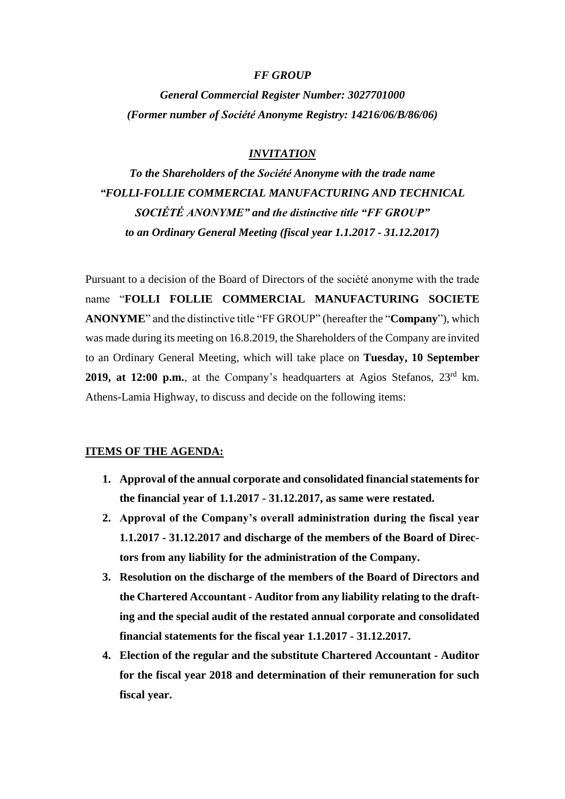#### *FF GROUP*

*General Commercial Register Number: 3027701000 (Former number οf Société Anonyme Registry: 14216/06/B/86/06)*

## *INVITATION*

*To the Shareholders of the Société Anonyme with the trade name "FOLLI-FOLLIE COMMERCIAL MANUFACTURING AND TECHNICAL SOCIÉTÉ ANONYME" and the distinctive title "FF GROUP" to an Ordinary General Meeting (fiscal year 1.1.2017 - 31.12.2017)*

Pursuant to a decision of the Board of Directors of the société anonyme with the trade name "**FOLLI FOLLIE COMMERCIAL MANUFACTURING SOCIETE ANONYME**" and the distinctive title "FF GROUP" (hereafter the "**Company**"), which was made during its meeting on 16.8.2019, the Shareholders of the Company are invited to an Ordinary General Meeting, which will take place on **Tuesday, 10 September 2019, at 12:00 p.m.**, at the Company's headquarters at Agios Stefanos, 23rd km. Athens-Lamia Highway, to discuss and decide on the following items:

#### **ITEMS OF THE AGENDA:**

- **1. Approval of the annual corporate and consolidated financial statements for the financial year of 1.1.2017 - 31.12.2017, as same were restated.**
- **2. Approval of the Company's overall administration during the fiscal year 1.1.2017 - 31.12.2017 and discharge of the members of the Board of Directors from any liability for the administration of the Company.**
- **3. Resolution on the discharge of the members of the Board of Directors and the Chartered Accountant - Auditor from any liability relating to the drafting and the special audit of the restated annual corporate and consolidated financial statements for the fiscal year 1.1.2017 - 31.12.2017.**
- **4. Election of the regular and the substitute Chartered Accountant - Auditor for the fiscal year 2018 and determination of their remuneration for such fiscal year.**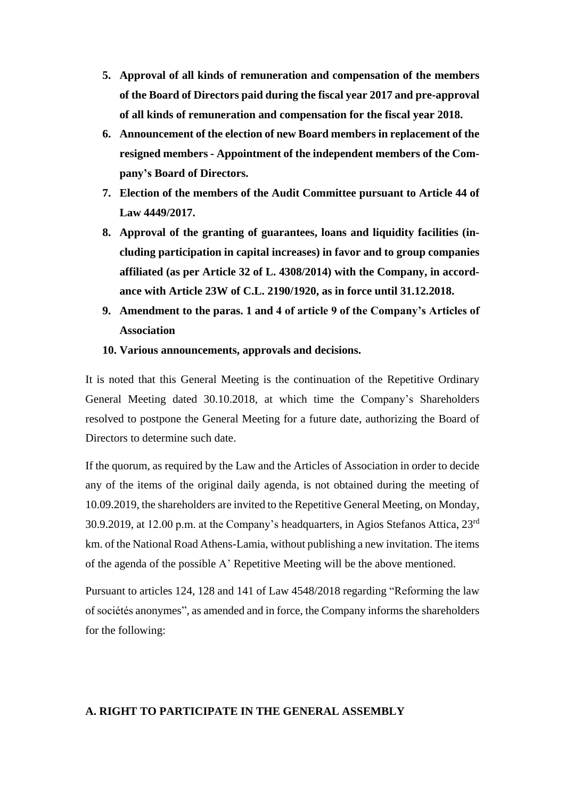- **5. Approval of all kinds of remuneration and compensation of the members of the Board of Directors paid during the fiscal year 2017 and pre-approval of all kinds of remuneration and compensation for the fiscal year 2018.**
- **6. Announcement of the election of new Board members in replacement of the resigned members - Appointment of the independent members of the Company's Board of Directors.**
- **7. Election of the members of the Audit Committee pursuant to Article 44 of Law 4449/2017.**
- **8. Approval of the granting of guarantees, loans and liquidity facilities (including participation in capital increases) in favor and to group companies affiliated (as per Article 32 of L. 4308/2014) with the Company, in accordance with Article 23W of C.L. 2190/1920, as in force until 31.12.2018.**
- **9. Amendment to the paras. 1 and 4 of article 9 of the Company's Articles of Association**
- **10. Various announcements, approvals and decisions.**

It is noted that this General Meeting is the continuation of the Repetitive Ordinary General Meeting dated 30.10.2018, at which time the Company's Shareholders resolved to postpone the General Meeting for a future date, authorizing the Board of Directors to determine such date.

If the quorum, as required by the Law and the Articles of Association in order to decide any of the items of the original daily agenda, is not obtained during the meeting of 10.09.2019, the shareholders are invited to the Repetitive General Meeting, on Monday, 30.9.2019, at 12.00 p.m. at the Company's headquarters, in Agios Stefanos Attica,  $23<sup>rd</sup>$ km. of the National Road Athens-Lamia, without publishing a new invitation. The items of the agenda of the possible A' Repetitive Meeting will be the above mentioned.

Pursuant to articles 124, 128 and 141 of Law 4548/2018 regarding "Reforming the law of sociétés anonymes", as amended and in force, the Company informs the shareholders for the following:

## **A. RIGHT TO PARTICIPATE IN THE GENERAL ASSEMBLY**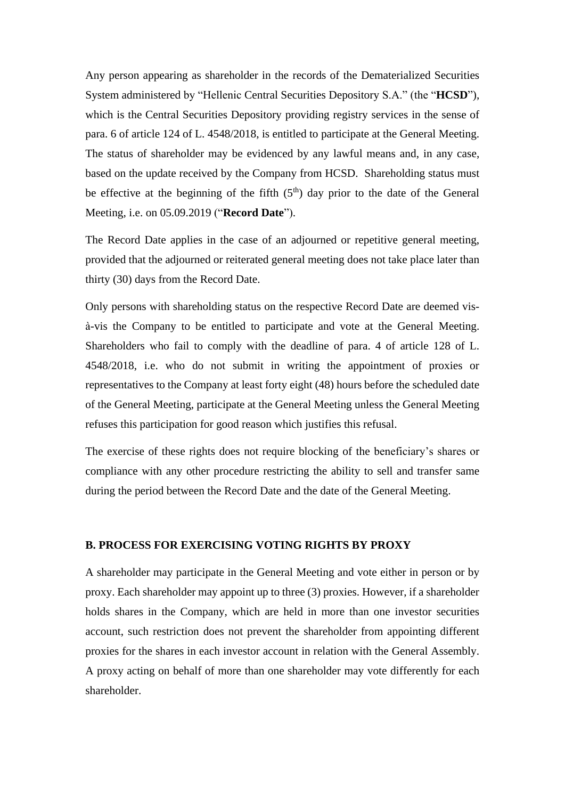Any person appearing as shareholder in the records of the Dematerialized Securities System administered by "Hellenic Central Securities Depository S.A." (the "**HCSD**"), which is the Central Securities Depository providing registry services in the sense of para. 6 of article 124 of L. 4548/2018, is entitled to participate at the General Meeting. The status of shareholder may be evidenced by any lawful means and, in any case, based on the update received by the Company from HCSD. Shareholding status must be effective at the beginning of the fifth  $(5<sup>th</sup>)$  day prior to the date of the General Meeting, i.e. on 05.09.2019 ("**Record Date**").

The Record Date applies in the case of an adjourned or repetitive general meeting, provided that the adjourned or reiterated general meeting does not take place later than thirty (30) days from the Record Date.

Only persons with shareholding status on the respective Record Date are deemed visà-vis the Company to be entitled to participate and vote at the General Meeting. Shareholders who fail to comply with the deadline of para. 4 of article 128 of L. 4548/2018, i.e. who do not submit in writing the appointment of proxies or representatives to the Company at least forty eight (48) hours before the scheduled date of the General Meeting, participate at the General Meeting unless the General Meeting refuses this participation for good reason which justifies this refusal.

The exercise of these rights does not require blocking of the beneficiary's shares or compliance with any other procedure restricting the ability to sell and transfer same during the period between the Record Date and the date of the General Meeting.

## **B. PROCESS FOR EXERCISING VOTING RIGHTS BY PROXY**

A shareholder may participate in the General Meeting and vote either in person or by proxy. Each shareholder may appoint up to three (3) proxies. However, if a shareholder holds shares in the Company, which are held in more than one investor securities account, such restriction does not prevent the shareholder from appointing different proxies for the shares in each investor account in relation with the General Assembly. A proxy acting on behalf of more than one shareholder may vote differently for each shareholder.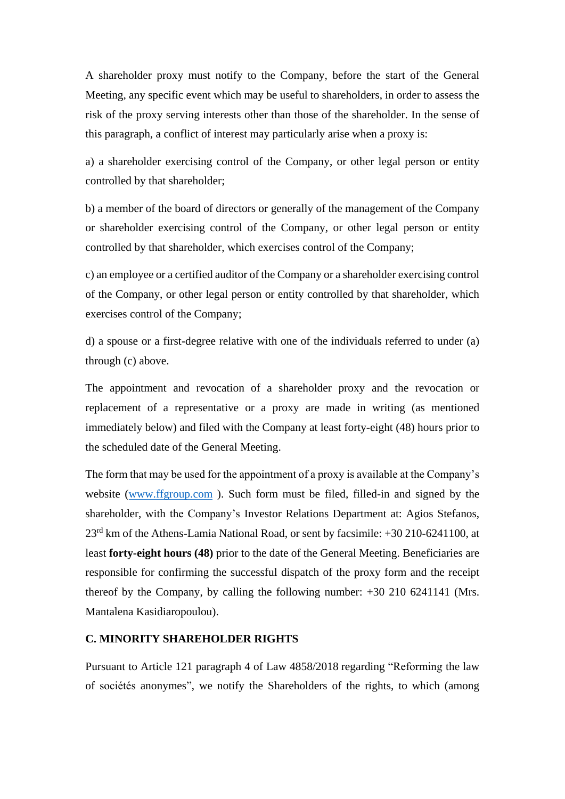A shareholder proxy must notify to the Company, before the start of the General Meeting, any specific event which may be useful to shareholders, in order to assess the risk of the proxy serving interests other than those of the shareholder. In the sense of this paragraph, a conflict of interest may particularly arise when a proxy is:

a) a shareholder exercising control of the Company, or other legal person or entity controlled by that shareholder;

b) a member of the board of directors or generally of the management of the Company or shareholder exercising control of the Company, or other legal person or entity controlled by that shareholder, which exercises control of the Company;

c) an employee or a certified auditor of the Company or a shareholder exercising control of the Company, or other legal person or entity controlled by that shareholder, which exercises control of the Company;

d) a spouse or a first-degree relative with one of the individuals referred to under (a) through (c) above.

The appointment and revocation of a shareholder proxy and the revocation or replacement of a representative or a proxy are made in writing (as mentioned immediately below) and filed with the Company at least forty-eight (48) hours prior to the scheduled date of the General Meeting.

The form that may be used for the appointment of a proxy is available at the Company's website [\(www.ffgroup.com](http://www.ffgroup.com/) ). Such form must be filed, filled-in and signed by the shareholder, with the Company's Investor Relations Department at: Agios Stefanos, 23rd km of the Athens-Lamia National Road, or sent by facsimile: +30 210-6241100, at least **forty-eight hours (48)** prior to the date of the General Meeting. Beneficiaries are responsible for confirming the successful dispatch of the proxy form and the receipt thereof by the Company, by calling the following number: +30 210 6241141 (Mrs. Mantalena Kasidiaropoulou).

## **C. MINORITY SHAREHOLDER RIGHTS**

Pursuant to Article 121 paragraph 4 of Law 4858/2018 regarding "Reforming the law of sociétés anonymes", we notify the Shareholders of the rights, to which (among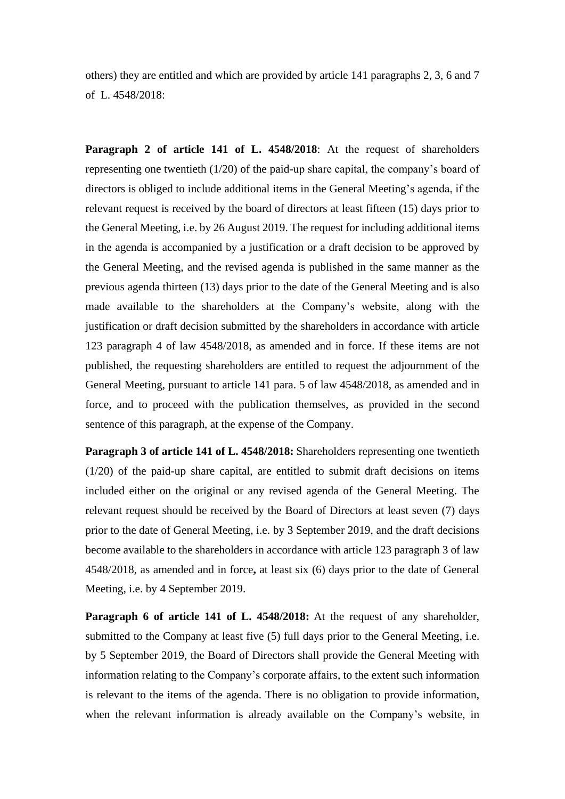others) they are entitled and which are provided by article 141 paragraphs 2, 3, 6 and 7 of L. 4548/2018:

**Paragraph 2 of article 141 of L. 4548/2018**: At the request of shareholders representing one twentieth (1/20) of the paid-up share capital, the company's board of directors is obliged to include additional items in the General Meeting's agenda, if the relevant request is received by the board of directors at least fifteen (15) days prior to the General Meeting, i.e. by 26 August 2019. The request for including additional items in the agenda is accompanied by a justification or a draft decision to be approved by the General Meeting, and the revised agenda is published in the same manner as the previous agenda thirteen (13) days prior to the date of the General Meeting and is also made available to the shareholders at the Company's website, along with the justification or draft decision submitted by the shareholders in accordance with article 123 paragraph 4 of law 4548/2018, as amended and in force. If these items are not published, the requesting shareholders are entitled to request the adjournment of the General Meeting, pursuant to article 141 para. 5 of law 4548/2018, as amended and in force, and to proceed with the publication themselves, as provided in the second sentence of this paragraph, at the expense of the Company.

**Paragraph 3 of article 141 of L. 4548/2018:** Shareholders representing one twentieth (1/20) of the paid-up share capital, are entitled to submit draft decisions on items included either on the original or any revised agenda of the General Meeting. The relevant request should be received by the Board of Directors at least seven (7) days prior to the date of General Meeting, i.e. by 3 September 2019, and the draft decisions become available to the shareholders in accordance with article 123 paragraph 3 of law 4548/2018, as amended and in force**,** at least six (6) days prior to the date of General Meeting, i.e. by 4 September 2019.

**Paragraph 6 of article 141 of L. 4548/2018:** At the request of any shareholder, submitted to the Company at least five (5) full days prior to the General Meeting, i.e. by 5 September 2019, the Board of Directors shall provide the General Meeting with information relating to the Company's corporate affairs, to the extent such information is relevant to the items of the agenda. There is no obligation to provide information, when the relevant information is already available on the Company's website, in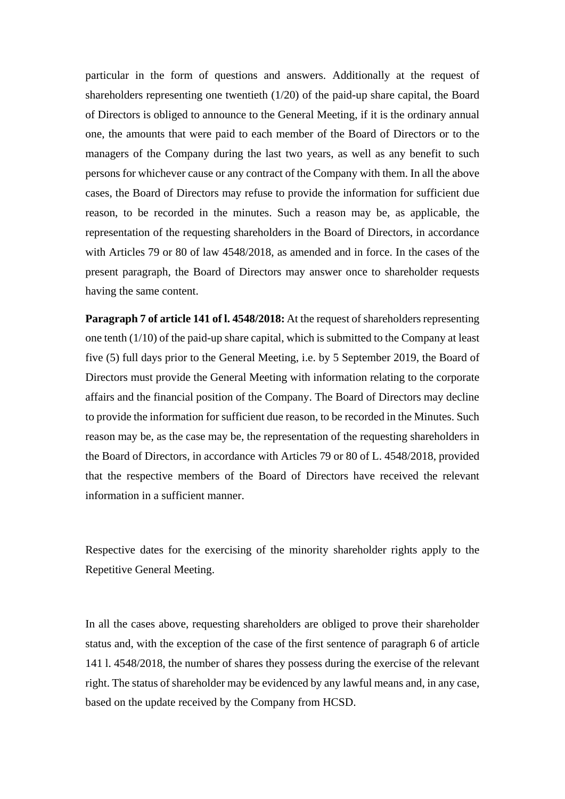particular in the form of questions and answers. Additionally at the request of shareholders representing one twentieth  $(1/20)$  of the paid-up share capital, the Board of Directors is obliged to announce to the General Meeting, if it is the ordinary annual one, the amounts that were paid to each member of the Board of Directors or to the managers of the Company during the last two years, as well as any benefit to such persons for whichever cause or any contract of the Company with them. In all the above cases, the Board of Directors may refuse to provide the information for sufficient due reason, to be recorded in the minutes. Such a reason may be, as applicable, the representation of the requesting shareholders in the Board of Directors, in accordance with Articles 79 or 80 of law 4548/2018, as amended and in force. In the cases of the present paragraph, the Board of Directors may answer once to shareholder requests having the same content.

**Paragraph 7 of article 141 of l. 4548/2018:** At the request of shareholders representing one tenth (1/10) of the paid-up share capital, which is submitted to the Company at least five (5) full days prior to the General Meeting, i.e. by 5 September 2019, the Board of Directors must provide the General Meeting with information relating to the corporate affairs and the financial position of the Company. The Board of Directors may decline to provide the information for sufficient due reason, to be recorded in the Minutes. Such reason may be, as the case may be, the representation of the requesting shareholders in the Board of Directors, in accordance with Articles 79 or 80 of L. 4548/2018, provided that the respective members of the Board of Directors have received the relevant information in a sufficient manner.

Respective dates for the exercising of the minority shareholder rights apply to the Repetitive General Meeting.

In all the cases above, requesting shareholders are obliged to prove their shareholder status and, with the exception of the case of the first sentence of paragraph 6 of article 141 l. 4548/2018, the number of shares they possess during the exercise of the relevant right. The status of shareholder may be evidenced by any lawful means and, in any case, based on the update received by the Company from HCSD.